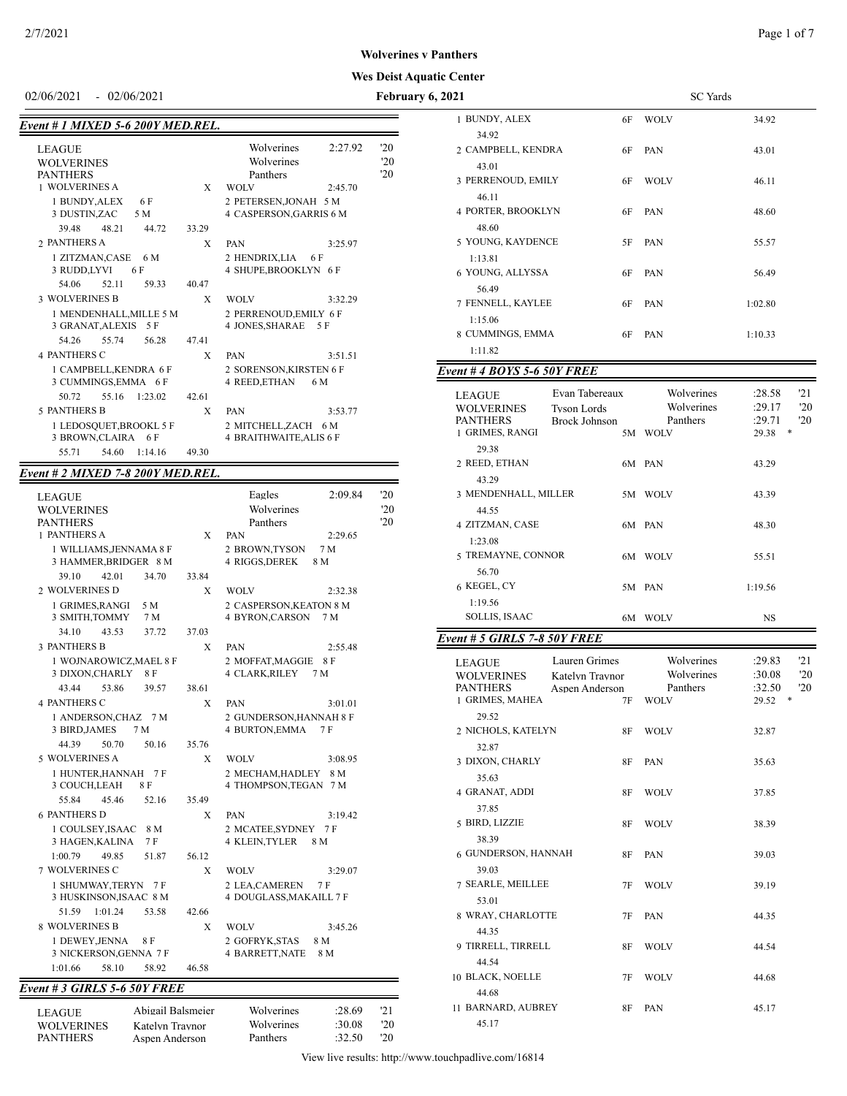#### **Wes Deist Aquatic Center Wolverines v Panthers**

#### 02/06/2021 - 02/06/2021 **February 6,**

# *Event # 1 MIXED 5-6 200Y MED.REL.*

| <b>LEAGUE</b><br><b>WOLVERINES</b> |       | Wolverines<br>Wolverines       | 2:27.92 | '20<br>$20^{\circ}$ |
|------------------------------------|-------|--------------------------------|---------|---------------------|
| <b>PANTHERS</b>                    |       | Panthers                       |         | '20                 |
| 1 WOLVERINES A                     | X     | <b>WOLV</b>                    | 2:45.70 |                     |
| 1 BUNDY, ALEX 6 F                  |       | 2 PETERSEN, JONAH 5 M          |         |                     |
| 3 DUSTIN, ZAC 5 M                  |       | 4 CASPERSON, GARRIS 6 M        |         |                     |
| 39.48 48.21<br>44.72               | 33.29 |                                |         |                     |
| 2 PANTHERS A                       | X     | PAN                            | 3:25.97 |                     |
| 1 ZITZMAN, CASE 6 M                |       | 2 HENDRIX, LIA 6 F             |         |                     |
| 3 RUDD,LYVI<br>6 F                 |       | 4 SHUPE, BROOKLYN 6 F          |         |                     |
| 54.06<br>52.11<br>59.33            | 40.47 |                                |         |                     |
| <b>3 WOLVERINES B</b>              | X     | <b>WOLV</b>                    | 3:32.29 |                     |
| 1 MENDENHALL, MILLE 5 M            |       | 2 PERRENOUD, EMILY 6 F         |         |                     |
| 3 GRANAT, ALEXIS 5 F               |       | 4 JONES, SHARAE<br>5 F         |         |                     |
| 55.74<br>56.28<br>54.26            | 47.41 |                                |         |                     |
| <b>4 PANTHERS C</b>                | X     | PAN                            | 3:51.51 |                     |
| 1 CAMPBELL, KENDRA 6 F             |       | 2 SORENSON, KIRSTEN 6 F        |         |                     |
| 3 CUMMINGS, EMMA 6 F               |       | 4 REED, ETHAN                  | 6 M     |                     |
| 50.72<br>55.16<br>1:23.02          | 42.61 |                                |         |                     |
| <b>5 PANTHERS B</b>                | X     | PAN                            | 3:53.77 |                     |
| 1 LEDOSQUET, BROOKL 5 F            |       | 2 MITCHELL, ZACH 6 M           |         |                     |
| 3 BROWN, CLAIRA 6 F                |       | <b>4 BRAITHWAITE, ALIS 6 F</b> |         |                     |
| 55.71<br>54.60<br>1:14.16          | 49.30 |                                |         |                     |

#### *Event # 2 MIXED 7-8 200Y MED.REL.*

| <b>LEAGUE</b><br><b>WOLVERINES</b><br><b>PANTHERS</b> |       | Eagles<br>2:09.84<br>Wolverines<br>Panthers            | 20<br>20<br>20 |  |
|-------------------------------------------------------|-------|--------------------------------------------------------|----------------|--|
| <b>1 PANTHERS A</b>                                   | X     | PAN<br>2:29.65                                         |                |  |
| 1 WILLIAMS, JENNAMA 8 F                               |       | 2 BROWN, TYSON<br>7 M                                  |                |  |
| 3 HAMMER, BRIDGER 8 M                                 |       | 4 RIGGS, DEREK<br>8 M                                  |                |  |
| 39.10<br>42.01<br>34.70                               | 33.84 |                                                        |                |  |
| 2 WOLVERINES D                                        | X     | <b>WOLV</b><br>2:32.38                                 |                |  |
| 1 GRIMES, RANGI<br>5 M                                |       | 2 CASPERSON, KEATON 8 M                                |                |  |
| 3 SMITH, TOMMY<br>7 M                                 |       | 4 BYRON, CARSON<br>7 M                                 |                |  |
| 34.10<br>43.53<br>37.72                               | 37.03 |                                                        |                |  |
| <b>3 PANTHERS B</b>                                   | X     | PAN<br>2:55.48                                         |                |  |
| 1 WOJNAROWICZ, MAEL 8 F                               |       | 2 MOFFAT, MAGGIE<br>8 F                                |                |  |
| 3 DIXON, CHARLY<br>8 F                                |       | <b>4 CLARK, RILEY</b><br>7 M                           |                |  |
| 53.86<br>43.44<br>39.57                               | 38.61 |                                                        |                |  |
| <b>4 PANTHERS C</b>                                   | X     | <b>PAN</b><br>3:01.01                                  |                |  |
| 1 ANDERSON, CHAZ 7 M                                  |       | 2 GUNDERSON, HANNAH 8 F                                |                |  |
| 3 BIRD, JAMES<br>7 M                                  |       | <b>4 BURTON, EMMA</b><br>7 F                           |                |  |
| 50.70<br>44.39<br>50.16                               | 35.76 |                                                        |                |  |
| 5 WOLVERINES A                                        | X     | <b>WOLV</b><br>3:08.95                                 |                |  |
| 1 HUNTER, HANNAH 7 F                                  |       | 2 MECHAM, HADLEY<br>8 M                                |                |  |
| 3 COUCH, LEAH<br>8 F                                  |       | 4 THOMPSON, TEGAN 7 M                                  |                |  |
| 55.84<br>45.46<br>52.16                               | 35.49 |                                                        |                |  |
| <b>6 PANTHERS D</b>                                   | X     | PAN<br>3:19.42                                         |                |  |
| 1 COULSEY,ISAAC<br>8 M                                |       | 2 MCATEE, SYDNEY<br>7 F                                |                |  |
| 3 HAGEN, KALINA<br>7 F                                |       | 4 KLEIN, TYLER<br>8 M                                  |                |  |
| 1:00.79<br>49.85<br>51.87                             | 56.12 |                                                        |                |  |
| <b>7 WOLVERINES C</b>                                 | X     | <b>WOLV</b><br>3:29.07                                 |                |  |
| 1 SHUMWAY, TERYN 7 F                                  |       | 2 LEA, CAMEREN<br>7 F                                  |                |  |
| 3 HUSKINSON, ISAAC 8 M<br>1:01.24                     |       | 4 DOUGLASS, MAKAILL 7 F                                |                |  |
| 51.59<br>53.58                                        | 42.66 |                                                        |                |  |
| <b>8 WOLVERINES B</b>                                 | X     | <b>WOLV</b><br>3:45.26                                 |                |  |
| 1 DEWEY, JENNA<br>8F<br>3 NICKERSON, GENNA 7 F        |       | 2 GOFRYK, STAS<br>8 M<br><b>4 BARRETT, NATE</b><br>8 M |                |  |
| 1:01.66<br>58.10<br>58.92                             | 46.58 |                                                        |                |  |
|                                                       |       |                                                        |                |  |

## *Event # 3 GIRLS 5-6 50Y FREE*

| LEAGUE            |
|-------------------|
| <b>WOLVERINES</b> |
| <b>PANTHERS</b>   |

| 2021                                                                                                                              |      | SC Yards                                     |                                                              |
|-----------------------------------------------------------------------------------------------------------------------------------|------|----------------------------------------------|--------------------------------------------------------------|
| 1 BUNDY, ALEX                                                                                                                     | 6F   | <b>WOLV</b>                                  | 34.92                                                        |
| 34.92<br>2 CAMPBELL, KENDRA                                                                                                       | 6F   | PAN                                          | 43.01                                                        |
| 43.01<br>3 PERRENOUD, EMILY                                                                                                       | 6F   | <b>WOLV</b>                                  | 46.11                                                        |
| 46.11<br>4 PORTER, BROOKLYN<br>48.60                                                                                              | 6F   | PAN                                          | 48.60                                                        |
| 5 YOUNG, KAYDENCE<br>1:13.81                                                                                                      | 5F   | PAN                                          | 55.57                                                        |
| 6 YOUNG, ALLYSSA<br>56.49                                                                                                         | 6F   | PAN                                          | 56.49                                                        |
| 7 FENNELL, KAYLEE<br>1:15.06                                                                                                      | 6F   | PAN                                          | 1:02.80                                                      |
| 8 CUMMINGS, EMMA<br>1:11.82                                                                                                       | 6F   | PAN                                          | 1:10.33                                                      |
| <b>Event # 4 BOYS 5-6 50Y FREE</b>                                                                                                |      |                                              |                                                              |
|                                                                                                                                   |      |                                              |                                                              |
| Evan Tabereaux<br>LEAGUE<br><b>WOLVERINES</b><br><b>Tyson Lords</b><br><b>PANTHERS</b><br><b>Brock Johnson</b><br>1 GRIMES, RANGI | 5M   | Wolverines<br>Wolverines<br>Panthers<br>WOLV | 21<br>:28.58<br>'20<br>:29.17<br>'20<br>:29.71<br>29.38<br>* |
| 29.38<br>2 REED, ETHAN                                                                                                            |      | 6M PAN                                       | 43.29                                                        |
| 43.29<br>3 MENDENHALL, MILLER<br>44.55                                                                                            | 5M   | WOLV                                         | 43.39                                                        |
| 4 ZITZMAN, CASE<br>1:23.08                                                                                                        |      | 6M PAN                                       | 48.30                                                        |
| 5 TREMAYNE, CONNOR<br>56.70                                                                                                       | 6M   | WOLV                                         | 55.51                                                        |
| 6 KEGEL, CY<br>1:19.56                                                                                                            |      | 5M PAN                                       | 1:19.56                                                      |
| SOLLIS, ISAAC                                                                                                                     | 6M   | <b>WOLV</b>                                  | NS                                                           |
| Event # 5 GIRLS 7-8 50Y FREE                                                                                                      |      |                                              |                                                              |
| Lauren Grimes<br>LEAGUE                                                                                                           |      | Wolverines                                   | 21<br>:29.83                                                 |
| <b>WOLVERINES</b><br>Katelyn Travnor                                                                                              |      | Wolverines                                   | 20<br>:30.08                                                 |
| <b>PANTHERS</b><br>Aspen Anderson<br>1 GRIMES, MAHEA                                                                              | 7F   | Panthers<br><b>WOLV</b>                      | '20<br>:32.50<br>*<br>29.52                                  |
| 29.52<br>2 NICHOLS, KATELYN                                                                                                       | 8F - | <b>WOLV</b>                                  | 32.87                                                        |
| 32.87                                                                                                                             |      |                                              |                                                              |
| 3 DIXON, CHARLY<br>35.63                                                                                                          | 8F   | PAN                                          | 35.63                                                        |
| 4 GRANAT, ADDI<br>37.85                                                                                                           | 8F   | <b>WOLV</b>                                  | 37.85                                                        |
| 5 BIRD, LIZZIE<br>38.39                                                                                                           | 8F   | <b>WOLV</b>                                  | 38.39                                                        |
| 6 GUNDERSON, HANNAH<br>39.03                                                                                                      | 8F   | PAN                                          | 39.03                                                        |
| 7 SEARLE, MEILLEE<br>53.01                                                                                                        | 7F   | <b>WOLV</b>                                  | 39.19                                                        |
| 8 WRAY, CHARLOTTE<br>44.35                                                                                                        | 7F   | PAN                                          | 44.35                                                        |
| 9 TIRRELL, TIRRELL<br>44.54                                                                                                       | 8F   | <b>WOLV</b>                                  | 44.54                                                        |
| 10 BLACK, NOELLE<br>44.68                                                                                                         | 7F   | <b>WOLV</b>                                  | 44.68                                                        |
| 11 BARNARD, AUBREY<br>45.17                                                                                                       | 8F   | PAN                                          | 45.17                                                        |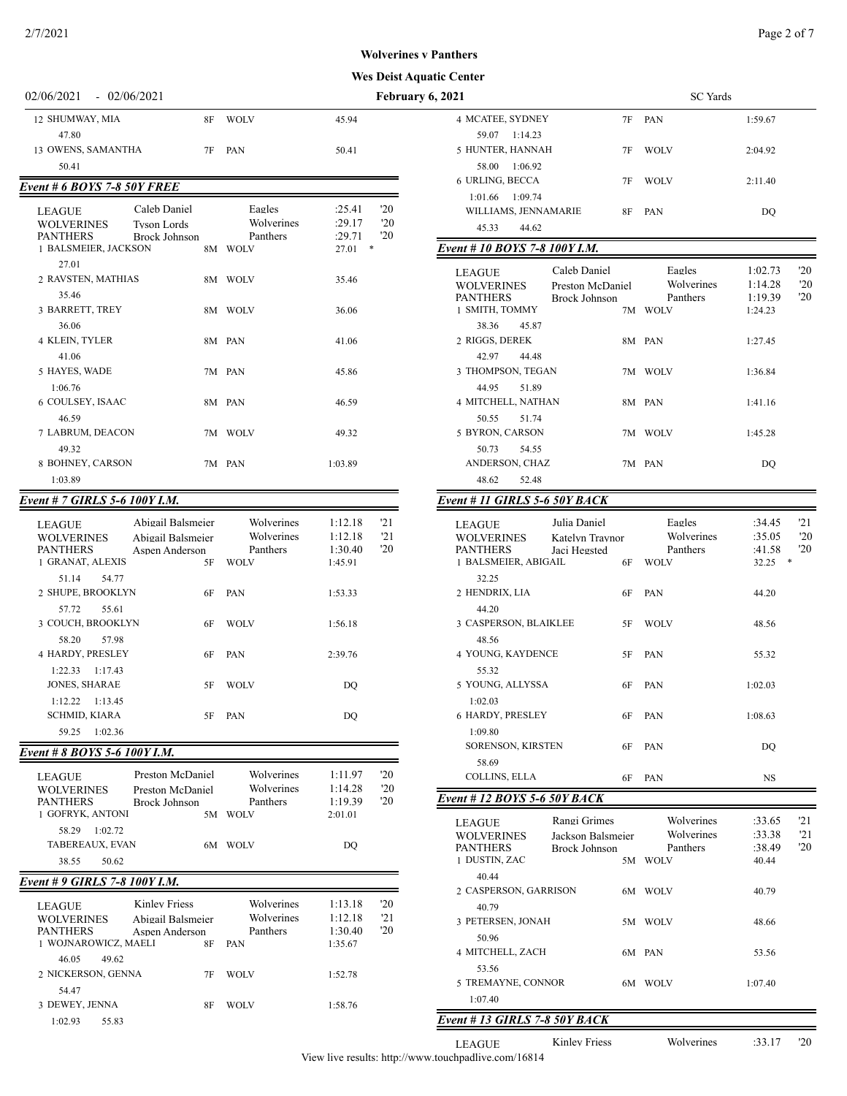## **nes v Panthers**

#### **Aquatic Center**

| 2/7/2021                                                                  |                                                                |                                                     |                                          |                   |                                                                                                                                     |    |                                                 | Page 2 of 7                         |                             |
|---------------------------------------------------------------------------|----------------------------------------------------------------|-----------------------------------------------------|------------------------------------------|-------------------|-------------------------------------------------------------------------------------------------------------------------------------|----|-------------------------------------------------|-------------------------------------|-----------------------------|
|                                                                           |                                                                |                                                     |                                          |                   | <b>Wolverines v Panthers</b>                                                                                                        |    |                                                 |                                     |                             |
|                                                                           |                                                                |                                                     |                                          |                   | <b>Wes Deist Aquatic Center</b>                                                                                                     |    |                                                 |                                     |                             |
| 02/06/2021                                                                | $-02/06/2021$                                                  |                                                     |                                          |                   | February 6, 2021                                                                                                                    |    | <b>SC</b> Yards                                 |                                     |                             |
| 12 SHUMWAY, MIA                                                           | <b>8F</b>                                                      | <b>WOLV</b>                                         | 45.94                                    |                   | 4 MCATEE, SYDNEY                                                                                                                    |    | 7F PAN                                          | 1:59.67                             |                             |
| 47.80                                                                     |                                                                |                                                     |                                          |                   | 59.07 1:14.23                                                                                                                       |    |                                                 |                                     |                             |
| 13 OWENS, SAMANTHA                                                        | 7F                                                             | PAN                                                 | 50.41                                    |                   | 5 HUNTER, HANNAH                                                                                                                    | 7F | <b>WOLV</b>                                     | 2:04.92                             |                             |
| 50.41                                                                     |                                                                |                                                     |                                          |                   | 58.00 1:06.92                                                                                                                       |    |                                                 |                                     |                             |
| Event # 6 BOYS 7-8 50Y FREE                                               |                                                                |                                                     |                                          |                   | 6 URLING, BECCA<br>1:01.66 1:09.74                                                                                                  | 7F | <b>WOLV</b>                                     | 2:11.40                             |                             |
| <b>LEAGUE</b><br><b>WOLVERINES</b><br><b>PANTHERS</b>                     | Caleb Daniel<br><b>Tyson Lords</b><br><b>Brock Johnson</b>     | Eagles<br>Wolverines<br>Panthers                    | :25.41<br>:29.17<br>:29.71               | '20<br>'20<br>'20 | WILLIAMS, JENNAMARIE<br>45.33<br>44.62                                                                                              | 8F | PAN                                             | DQ                                  |                             |
| 1 BALSMEIER, JACKSON                                                      |                                                                | 8M WOLV                                             | $27.01$ *                                |                   | Event #10 BOYS 7-8 100Y I.M.                                                                                                        |    |                                                 |                                     |                             |
| 27.01<br>2 RAVSTEN, MATHIAS                                               |                                                                | 8M WOLV                                             | 35.46                                    |                   | Caleb Daniel<br><b>LEAGUE</b><br><b>WOLVERINES</b><br>Preston McDaniel                                                              |    | Eagles<br>Wolverines                            | 1:02.73<br>1:14.28                  | 20<br>20                    |
| 35.46<br>3 BARRETT, TREY<br>36.06                                         |                                                                | 8M WOLV                                             | 36.06                                    |                   | <b>PANTHERS</b><br><b>Brock Johnson</b><br>1 SMITH, TOMMY<br>38.36<br>45.87                                                         |    | Panthers<br>7M WOLV                             | 1:19.39<br>1:24.23                  | 20                          |
| 4 KLEIN, TYLER<br>41.06                                                   |                                                                | 8M PAN                                              | 41.06                                    |                   | 2 RIGGS, DEREK<br>42.97<br>44.48                                                                                                    |    | 8M PAN                                          | 1:27.45                             |                             |
| 5 HAYES, WADE<br>1:06.76                                                  |                                                                | 7M PAN                                              | 45.86                                    |                   | 3 THOMPSON, TEGAN<br>44.95<br>51.89                                                                                                 |    | 7M WOLV                                         | 1:36.84                             |                             |
| 6 COULSEY, ISAAC<br>46.59                                                 |                                                                | 8M PAN                                              | 46.59                                    |                   | 4 MITCHELL, NATHAN<br>50.55<br>51.74                                                                                                |    | 8M PAN                                          | 1:41.16                             |                             |
| 7 LABRUM, DEACON<br>49.32                                                 |                                                                | 7M WOLV                                             | 49.32                                    |                   | 5 BYRON, CARSON<br>50.73<br>54.55                                                                                                   |    | 7M WOLV                                         | 1:45.28                             |                             |
| 8 BOHNEY, CARSON<br>1:03.89                                               |                                                                | 7M PAN                                              | 1:03.89                                  |                   | ANDERSON, CHAZ<br>48.62<br>52.48                                                                                                    |    | 7M PAN                                          | DQ                                  |                             |
| Event # 7 GIRLS 5-6 100Y I.M.                                             |                                                                |                                                     |                                          |                   | Event # 11 GIRLS 5-6 50Y BACK                                                                                                       |    |                                                 |                                     |                             |
| <b>LEAGUE</b><br><b>WOLVERINES</b><br><b>PANTHERS</b><br>1 GRANAT, ALEXIS | Abigail Balsmeier<br>Abigail Balsmeier<br>Aspen Anderson<br>5F | Wolverines<br>Wolverines<br>Panthers<br><b>WOLV</b> | 1:12.18<br>1:12.18<br>1:30.40<br>1:45.91 | '21<br>21<br>'20  | Julia Daniel<br><b>LEAGUE</b><br><b>WOLVERINES</b><br>Katelyn Traynor<br><b>PANTHERS</b><br>Jaci Hegsted<br>1 BALSMEIER, ABIGAIL    | 6F | Eagles<br>Wolverines<br>Panthers<br><b>WOLV</b> | :34.45<br>:35.05<br>:41.58<br>32.25 | '21<br>'20<br>'20<br>$\ast$ |
| 54.77<br>51.14<br>2 SHUPE, BROOKLYN                                       | 6F                                                             | PAN                                                 | 1:53.33                                  |                   | 32.25<br>2 HENDRIX, LIA                                                                                                             | 6F | PAN                                             | 44.20                               |                             |
| 57.72<br>55.61<br>3 COUCH, BROOKLYN                                       | 6F                                                             | <b>WOLV</b>                                         | 1:56.18                                  |                   | 44.20<br>3 CASPERSON, BLAIKLEE                                                                                                      | 5F | WOLV                                            | 48.56                               |                             |
| 57.98<br>58.20<br>4 HARDY, PRESLEY<br>$1:22.33$ $1:17.43$                 | 6F                                                             | PAN                                                 | 2:39.76                                  |                   | 48.56<br>4 YOUNG, KAYDENCE<br>55.32                                                                                                 | 5F | PAN                                             | 55.32                               |                             |
| JONES, SHARAE<br>$1:12.22$ $1:13.45$                                      | 5F                                                             | <b>WOLV</b>                                         | DQ                                       |                   | 5 YOUNG, ALLYSSA<br>1:02.03                                                                                                         | 6F | PAN                                             | 1:02.03                             |                             |
| <b>SCHMID, KIARA</b><br>59.25 1:02.36                                     | 5F                                                             | PAN                                                 | DQ                                       |                   | 6 HARDY, PRESLEY<br>1:09.80                                                                                                         | 6F | PAN                                             | 1:08.63                             |                             |
| Event # 8 BOYS 5-6 100Y I.M.                                              |                                                                |                                                     |                                          |                   | <b>SORENSON, KIRSTEN</b>                                                                                                            | 6F | PAN                                             | DQ                                  |                             |
|                                                                           |                                                                |                                                     |                                          |                   | 58.69                                                                                                                               |    |                                                 |                                     |                             |
| LEAGUE<br><b>WOLVERINES</b><br>PANTHERS                                   | Preston McDaniel<br>Preston McDaniel<br>Brock Johnson          | Wolverines<br>Wolverines<br>Panthers                | 1:11.97<br>1:14.28<br>1:19.39            | '20<br>'20<br>'20 | COLLINS, ELLA<br>Event #12 BOYS 5-6 50Y BACK                                                                                        | 6F | PAN                                             | NS                                  |                             |
| 1 GOFRYK, ANTONI<br>58.29 1:02.72<br>TABEREAUX, EVAN<br>38.55<br>50.62    |                                                                | 5M WOLV<br>6M WOLV                                  | 2:01.01<br>DQ                            |                   | Rangi Grimes<br><b>LEAGUE</b><br><b>WOLVERINES</b><br>Jackson Balsmeier<br><b>PANTHERS</b><br><b>Brock Johnson</b><br>1 DUSTIN, ZAC |    | Wolverines<br>Wolverines<br>Panthers<br>5M WOLV | :33.65<br>:33.38<br>:38.49<br>40.44 | 21<br>'21<br>'20            |
| Event # 9 GIRLS 7-8 100Y I.M.                                             |                                                                |                                                     |                                          |                   | 40.44<br>2 CASPERSON, GARRISON                                                                                                      |    | 6M WOLV                                         | 40.79                               |                             |
| <b>LEAGUE</b><br><b>WOLVERINES</b>                                        | <b>Kinley Friess</b><br>Abigail Balsmeier                      | Wolverines<br>Wolverines                            | 1:13.18<br>1:12.18                       | 20<br>'21         | 40.79<br>2 PETERSEN JONAH                                                                                                           |    | $5M$ WOLV                                       | 19.66                               |                             |

| <b>LEAGUE</b><br><b>WOLVERINES</b><br><b>PANTHERS</b> | Kinley Friess<br>Abigail Balsmeier<br>Aspen Anderson | Wolverines<br>Wolverines<br>Panthers | 1:13.18<br>1:12.18<br>1:30.40 | '20<br>'21<br>'20 |
|-------------------------------------------------------|------------------------------------------------------|--------------------------------------|-------------------------------|-------------------|
| WOJNAROWICZ, MAELI<br>49.62<br>46.05                  | 8F                                                   | PAN                                  | 1:35.67                       |                   |
| 2 NICKERSON, GENNA<br>54.47                           | 7F                                                   | WOLV                                 | 1:52.78                       |                   |
| 3 DEWEY, JENNA                                        | 8F                                                   | WOLV                                 | 1:58.76                       |                   |
| 55.83<br>1:02.93                                      |                                                      |                                      |                               |                   |

| .                                          |    |                 |         |
|--------------------------------------------|----|-----------------|---------|
| 2021                                       |    | <b>SC</b> Yards |         |
| 4 MCATEE, SYDNEY                           | 7F | <b>PAN</b>      | 1:59.67 |
| 59.07<br>1:14.23<br>5 HUNTER, HANNAH       | 7F | <b>WOLV</b>     | 2:04.92 |
| 1:06.92<br>58.00<br>6 URLING, BECCA        | 7F | <b>WOLV</b>     | 2:11.40 |
| 1:09.74<br>1:01.66<br>WILLIAMS, JENNAMARIE | 8F | <b>PAN</b>      | DO      |
| 45.33<br>44.62                             |    |                 |         |

# *Event # 10 BOYS 7-8 100Y I.M.*

| <b>LEAGUE</b><br><b>WOLVERINES</b> |       | Caleb Daniel<br>Preston McDaniel |    | Eagles<br>Wolverines | 1:02.73<br>1:14.28 | $20^{\circ}$<br>'20 |
|------------------------------------|-------|----------------------------------|----|----------------------|--------------------|---------------------|
| <b>PANTHERS</b>                    |       | Brock Johnson                    |    | Panthers             | 1:19.39            | '20                 |
| 1 SMITH, TOMMY                     |       |                                  |    | 7M WOLV              | 1:24.23            |                     |
| 38.36                              | 45.87 |                                  |    |                      |                    |                     |
| 2 RIGGS, DEREK                     |       |                                  |    | 8M PAN               | 1:27.45            |                     |
| 42.97                              | 44.48 |                                  |    |                      |                    |                     |
| 3 THOMPSON, TEGAN                  |       |                                  | 7M | <b>WOLV</b>          | 1:36.84            |                     |
| 44.95                              | 51.89 |                                  |    |                      |                    |                     |
| 4 MITCHELL, NATHAN                 |       |                                  |    | 8M PAN               | 1:41.16            |                     |
| 50.55                              | 51.74 |                                  |    |                      |                    |                     |
| 5 BYRON, CARSON                    |       |                                  | 7M | <b>WOLV</b>          | 1:45.28            |                     |
| 50.73                              | 54.55 |                                  |    |                      |                    |                     |
| ANDERSON, CHAZ                     |       |                                  |    | 7M PAN               | DO                 |                     |
| 48.62                              | 52.48 |                                  |    |                      |                    |                     |

# *Event # 11 GIRLS 5-6 50Y BACK*

| <b>LEAGUE</b><br><b>WOLVERINES</b><br><b>PANTHERS</b><br>1 BALSMEIER, ABIGAIL | Julia Daniel<br>Katelyn Traynor<br>Jaci Hegsted<br>6F | Eagles<br>Wolverines<br>Panthers<br><b>WOLV</b> | :34.45<br>:35.05<br>:41.58<br>32.25 | '21<br>'20<br>20<br>* |
|-------------------------------------------------------------------------------|-------------------------------------------------------|-------------------------------------------------|-------------------------------------|-----------------------|
| 32.25<br>2 HENDRIX, LIA                                                       | 6F                                                    | PAN                                             | 44.20                               |                       |
| 44.20<br>3 CASPERSON, BLAIKLEE<br>48.56                                       | 5F                                                    | <b>WOLV</b>                                     | 48.56                               |                       |
| 4 YOUNG, KAYDENCE<br>55.32                                                    | 5F                                                    | <b>PAN</b>                                      | 55.32                               |                       |
| 5 YOUNG, ALLYSSA<br>1:02.03                                                   | 6F                                                    | <b>PAN</b>                                      | 1:02.03                             |                       |
| 6 HARDY, PRESLEY<br>1:09.80                                                   | 6F                                                    | PAN                                             | 1:08.63                             |                       |
| <b>SORENSON, KIRSTEN</b><br>58.69                                             | 6F                                                    | PAN                                             | DO                                  |                       |
| COLLINS, ELLA                                                                 | 6F                                                    | PAN                                             | <b>NS</b>                           |                       |

# *Event # 12 BOYS 5-6 50Y BACK*

| <b>LEAGUE</b><br><b>WOLVERINES</b><br><b>PANTHERS</b><br>1 DUSTIN, ZAC | Rangi Grimes<br>Jackson Balsmeier<br>Brock Johnson | 5M . | Wolverines<br>Wolverines<br>Panthers<br><b>WOLV</b> | :33.65<br>:33.38<br>:38.49<br>40.44 | '21<br>'21<br>20 |
|------------------------------------------------------------------------|----------------------------------------------------|------|-----------------------------------------------------|-------------------------------------|------------------|
| 40.44                                                                  |                                                    |      |                                                     |                                     |                  |
| 2 CASPERSON, GARRISON                                                  |                                                    | 6M - | <b>WOLV</b>                                         | 40.79                               |                  |
| 40.79                                                                  |                                                    |      |                                                     |                                     |                  |
| 3 PETERSEN, JONAH                                                      |                                                    | 5M.  | <b>WOLV</b>                                         | 48.66                               |                  |
| 50.96                                                                  |                                                    |      |                                                     |                                     |                  |
| 4 MITCHELL, ZACH                                                       |                                                    |      | 6M PAN                                              | 53.56                               |                  |
| 53.56                                                                  |                                                    |      |                                                     |                                     |                  |
| 5 TREMAYNE, CONNOR                                                     |                                                    | 6M.  | <b>WOLV</b>                                         | 1:07.40                             |                  |
| 1:07.40                                                                |                                                    |      |                                                     |                                     |                  |
| Event # 13 GIRLS 7-8 50Y BACK                                          |                                                    |      |                                                     |                                     |                  |
| LEAGUE                                                                 | Kinley Friess                                      |      | Wolverines                                          | :33.17                              | $20^{\circ}$     |

View live results: http://www.touchpadlive.com/16814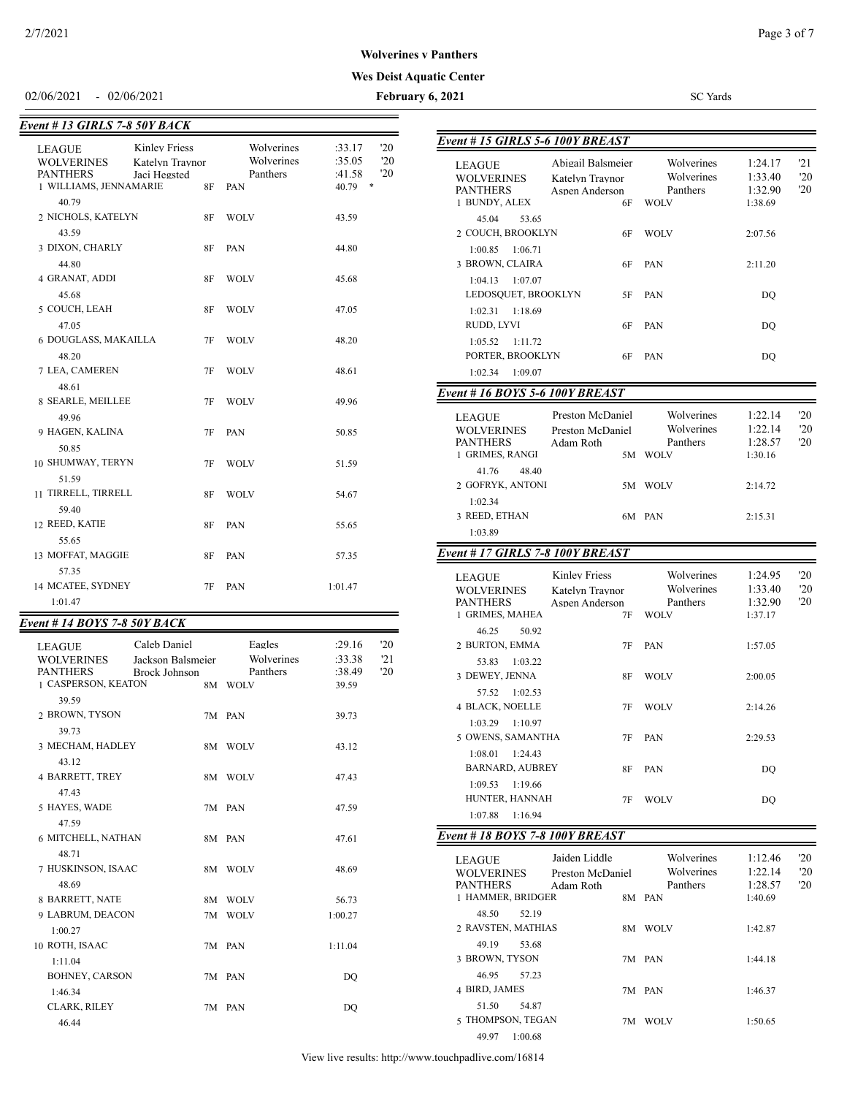**Wolverines v Panthers**

#### **Wes Deist Aquatic Center**

02/06/2021 - 02/06/2021 **February 6, 2021** SC Yards

-

| Event # 13 GIRLS 7-8 50Y BACK                                                   |                                                         |    |                                             |                                                                        |  |  |
|---------------------------------------------------------------------------------|---------------------------------------------------------|----|---------------------------------------------|------------------------------------------------------------------------|--|--|
| <b>LEAGUE</b><br><b>WOLVERINES</b><br><b>PANTHERS</b><br>1 WILLIAMS, JENNAMARIE | <b>Kinley Friess</b><br>Katelyn Traynor<br>Jaci Hegsted | 8F | Wolverines<br>Wolverines<br>Panthers<br>PAN | :33.17<br>'20<br>$20^{\circ}$<br>:35.05<br>'20<br>:41.58<br>*<br>40.79 |  |  |
| 40.79                                                                           |                                                         |    |                                             |                                                                        |  |  |
| 2 NICHOLS, KATELYN<br>43.59                                                     |                                                         | 8F | <b>WOLV</b>                                 | 43.59                                                                  |  |  |
| 3 DIXON, CHARLY                                                                 |                                                         | 8F | PAN                                         | 44.80                                                                  |  |  |
| 44.80<br>4 GRANAT, ADDI                                                         |                                                         | 8F | <b>WOLV</b>                                 | 45.68                                                                  |  |  |
| 45.68<br>5 COUCH, LEAH                                                          |                                                         | 8F | <b>WOLV</b>                                 | 47.05                                                                  |  |  |
| 47.05<br>6 DOUGLASS, MAKAILLA                                                   |                                                         | 7F | WOLV                                        | 48.20                                                                  |  |  |
| 48.20<br>7 LEA, CAMEREN                                                         |                                                         | 7F | <b>WOLV</b>                                 | 48.61                                                                  |  |  |
| 48.61<br>8 SEARLE, MEILLEE                                                      |                                                         | 7F | <b>WOLV</b>                                 | 49.96                                                                  |  |  |
| 49.96<br>9 HAGEN, KALINA                                                        |                                                         | 7F | PAN                                         | 50.85                                                                  |  |  |
| 50.85<br>10 SHUMWAY, TERYN                                                      |                                                         | 7F | <b>WOLV</b>                                 | 51.59                                                                  |  |  |
| 51.59<br>11 TIRRELL, TIRRELL                                                    |                                                         | 8F | <b>WOLV</b>                                 | 54.67                                                                  |  |  |
| 59.40<br>12 REED, KATIE                                                         |                                                         | 8F | PAN                                         | 55.65                                                                  |  |  |
| 55.65<br>13 MOFFAT, MAGGIE                                                      |                                                         | 8F | PAN                                         | 57.35                                                                  |  |  |
| 57.35<br>14 MCATEE, SYDNEY                                                      |                                                         | 7F | PAN                                         | 1:01.47                                                                |  |  |
| 1:01.47                                                                         |                                                         |    |                                             |                                                                        |  |  |

# *Event # 14 BOYS 7-8 50Y BACK*

| <b>LEAGUE</b><br><b>WOLVERINES</b><br><b>PANTHERS</b> | Caleb Daniel<br>Jackson Balsmeier<br>Brock Johnson | Eagles<br>Wolverines<br>Panthers | :29.16<br>:33.38<br>:38.49 | 20<br>'21<br>'20 |
|-------------------------------------------------------|----------------------------------------------------|----------------------------------|----------------------------|------------------|
| 1 CASPERSON, KEATON                                   |                                                    | 8M WOLV                          | 39.59                      |                  |
| 39.59<br>2 BROWN, TYSON                               |                                                    | 7M PAN                           | 39.73                      |                  |
| 39.73                                                 |                                                    |                                  |                            |                  |
| 3 MECHAM, HADLEY                                      |                                                    | 8M WOLV                          | 43.12                      |                  |
| 43.12                                                 |                                                    |                                  |                            |                  |
| 4 BARRETT, TREY                                       |                                                    | 8M WOLV                          | 47.43                      |                  |
| 47.43                                                 |                                                    |                                  |                            |                  |
| 5 HAYES, WADE                                         |                                                    | 7M PAN                           | 47.59                      |                  |
| 47.59                                                 |                                                    |                                  |                            |                  |
| <b>6 MITCHELL, NATHAN</b>                             |                                                    | 8M PAN                           | 47.61                      |                  |
| 48.71                                                 |                                                    |                                  |                            |                  |
| 7 HUSKINSON, ISAAC<br>48.69                           |                                                    | 8M WOLV                          | 48.69                      |                  |
| 8 BARRETT, NATE                                       |                                                    | 8M WOLV                          | 56.73                      |                  |
| 9 LABRUM, DEACON                                      |                                                    | 7M WOLV                          | 1:00.27                    |                  |
| 1:00.27                                               |                                                    |                                  |                            |                  |
| 10 ROTH, ISAAC                                        |                                                    | 7M PAN                           | 1:11.04                    |                  |
| 1:11.04                                               |                                                    |                                  |                            |                  |
| <b>BOHNEY, CARSON</b>                                 |                                                    | 7M PAN                           | DO                         |                  |
| 1:46.34                                               |                                                    |                                  |                            |                  |
| <b>CLARK, RILEY</b>                                   |                                                    | 7M PAN                           | DO                         |                  |
| 46.44                                                 |                                                    |                                  |                            |                  |

|                                        | Event #15 GIRLS 5-6 100Y BREAST |                         |                    |                     |  |
|----------------------------------------|---------------------------------|-------------------------|--------------------|---------------------|--|
|                                        |                                 |                         |                    |                     |  |
| LEAGUE                                 | Abigail Balsmeier               | Wolverines              | 1:24.17            | 21                  |  |
| <b>WOLVERINES</b>                      | Katelyn Traynor                 | Wolverines              | 1:33.40            | '20                 |  |
| PANTHERS<br>1 BUNDY, ALEX              | Aspen Anderson                  | Panthers                | 1:32.90            | '20                 |  |
|                                        | 6F                              | <b>WOLV</b>             | 1:38.69            |                     |  |
| 45.04<br>53.65                         |                                 |                         |                    |                     |  |
| 2 COUCH, BROOKLYN                      | 6F                              | <b>WOLV</b>             | 2:07.56            |                     |  |
| 1:00.85<br>1:06.71                     |                                 |                         |                    |                     |  |
| 3 BROWN, CLAIRA                        | 6F                              | PAN                     | 2:11.20            |                     |  |
| 1:04.13<br>1:07.07                     |                                 |                         |                    |                     |  |
| LEDOSQUET, BROOKLYN                    | 5F                              | <b>PAN</b>              | DQ                 |                     |  |
| 1:02.31<br>1:18.69                     |                                 |                         |                    |                     |  |
| RUDD, LYVI                             | 6F                              | <b>PAN</b>              | DQ                 |                     |  |
| 1:05.52<br>1:11.72                     |                                 |                         |                    |                     |  |
| PORTER, BROOKLYN                       | 6F                              | <b>PAN</b>              | DQ                 |                     |  |
| 1:09.07<br>1:02.34                     |                                 |                         |                    |                     |  |
| <b>Event # 16 BOYS 5-6 100Y BREAST</b> |                                 |                         |                    |                     |  |
|                                        |                                 |                         |                    |                     |  |
| LEAGUE                                 | Preston McDaniel                | Wolverines              | 1:22.14            | '20                 |  |
| <b>WOLVERINES</b>                      | Preston McDaniel                | Wolverines              | 1:22.14            | '20                 |  |
| <b>PANTHERS</b><br>1 GRIMES, RANGI     | Adam Roth                       | Panthers                | 1:28.57            | '20                 |  |
|                                        | 5M                              | WOLV                    | 1:30.16            |                     |  |
| 41.76<br>48.40                         |                                 |                         |                    |                     |  |
| 2 GOFRYK, ANTONI                       | 5M                              | <b>WOLV</b>             | 2:14.72            |                     |  |
| 1:02.34                                |                                 |                         |                    |                     |  |
| 3 REED, ETHAN                          |                                 | 6M PAN                  | 2:15.31            |                     |  |
| 1:03.89                                |                                 |                         |                    |                     |  |
| Event # 17 GIRLS 7-8 100Y BREAST       |                                 |                         |                    |                     |  |
|                                        |                                 |                         |                    |                     |  |
| LEAGUE                                 | <b>Kinley Friess</b>            | Wolverines              | 1:24.95            | 20                  |  |
| <b>WOLVERINES</b>                      | Katelyn Traynor                 | Wolverines              | 1:33.40            | '20                 |  |
| PANTHERS<br>1 GRIMES, MAHEA            | Aspen Anderson<br>7F            | Panthers<br><b>WOLV</b> | 1:32.90<br>1:37.17 | '20                 |  |
|                                        |                                 |                         |                    |                     |  |
| 46.25<br>50.92                         |                                 |                         |                    |                     |  |
| 2 BURTON, EMMA                         | 7F                              | PAN                     | 1:57.05            |                     |  |
| 53.83<br>1:03.22                       |                                 |                         |                    |                     |  |
| 3 DEWEY, JENNA                         | 8F                              | <b>WOLV</b>             | 2:00.05            |                     |  |
| 57.52<br>1:02.53                       |                                 |                         |                    |                     |  |
| <b>4 BLACK, NOELLE</b>                 | 7F                              | <b>WOLV</b>             | 2:14.26            |                     |  |
| 1:03.29 1:10.97                        |                                 |                         |                    |                     |  |
| 5 OWENS, SAMANTHA                      | 7F                              | PAN                     | 2:29.53            |                     |  |
| $1:08.01$ $1:24.43$                    |                                 |                         |                    |                     |  |
| <b>BARNARD, AUBREY</b>                 | 8F                              | PAN                     | DO                 |                     |  |
| 1:09.53<br>1:19.66                     |                                 |                         |                    |                     |  |
| HUNTER, HANNAH                         | 7F                              | <b>WOLV</b>             | DQ                 |                     |  |
| 1:07.88<br>1:16.94                     |                                 |                         |                    |                     |  |
| Event #18 BOYS 7-8 100Y BREAST         |                                 |                         |                    |                     |  |
|                                        |                                 |                         |                    |                     |  |
| LEAGUE                                 | Jaiden Liddle                   | Wolverines              | 1:12.46            | $20^{\circ}$        |  |
| <b>WOLVERINES</b>                      | Preston McDaniel                | Wolverines              | 1:22.14            | $20^{\circ}$<br>'20 |  |
| <b>PANTHERS</b><br>1 HAMMER, BRIDGER   | Adam Roth                       | Panthers<br>8M PAN      | 1:28.57<br>1:40.69 |                     |  |
|                                        |                                 |                         |                    |                     |  |
| 48.50<br>52.19                         |                                 |                         |                    |                     |  |
| 2 RAVSTEN, MATHIAS                     |                                 | 8M WOLV                 | 1:42.87            |                     |  |
| 49.19<br>53.68                         |                                 |                         |                    |                     |  |
| 3 BROWN, TYSON                         |                                 | 7M PAN                  | 1:44.18            |                     |  |
| 46.95<br>57.23                         |                                 |                         |                    |                     |  |
|                                        |                                 |                         |                    |                     |  |
| 4 BIRD, JAMES                          |                                 | 7M PAN                  | 1:46.37            |                     |  |
| 51.50<br>54.87                         |                                 |                         |                    |                     |  |
| 5 THOMPSON, TEGAN                      |                                 | 7M WOLV                 | 1:50.65            |                     |  |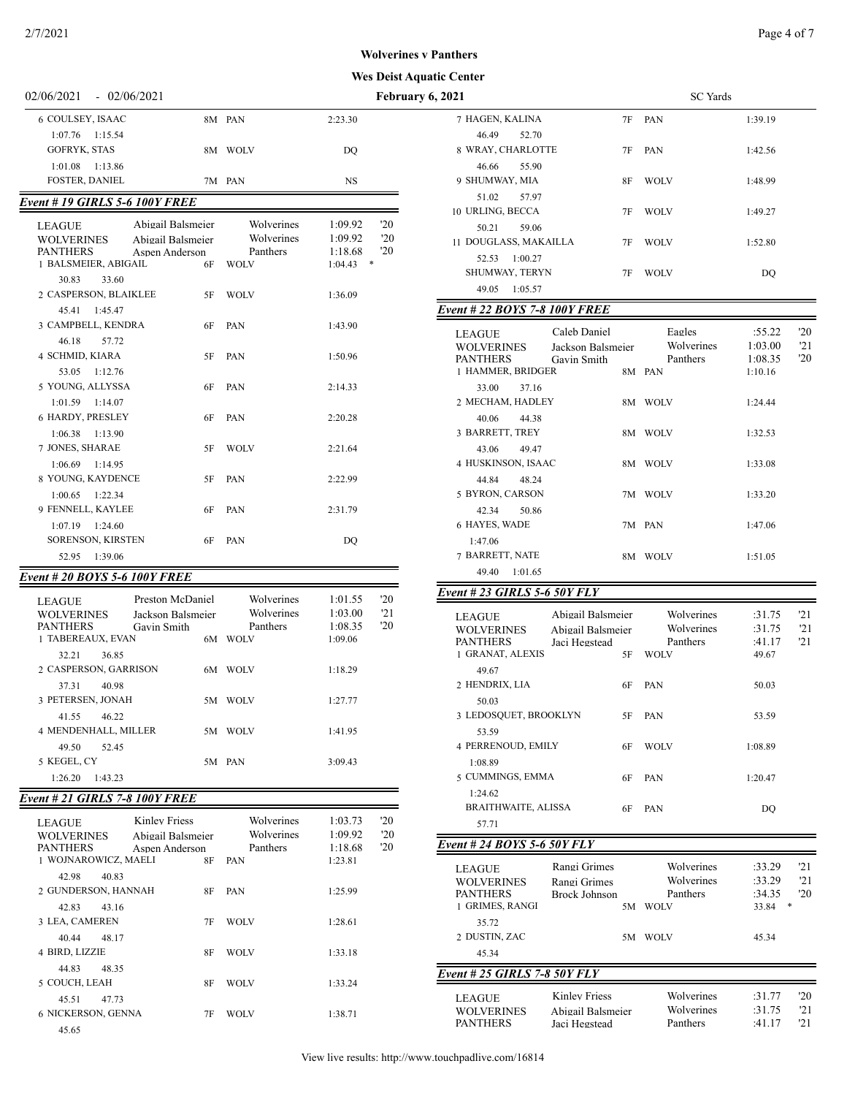### **Wes Deist Aquatic Center Wolverines v Panthers**

| $02/00/2021 = 02/00/2021$ |         | T CD.   |
|---------------------------|---------|---------|
| 6 COULSEY, ISAAC          | 8M PAN  | 2:23.30 |
| $1:07.76$ 1:15.54         |         |         |
| GOFRYK, STAS              | 8M WOLV | DO      |
| $1:01.08$ $1:13.86$       |         |         |
| <b>FOSTER, DANIEL</b>     | 7M PAN  | NS      |

### *Event # 19 GIRLS 5-6 100Y FREE*

| <b>LEAGUE</b><br><b>WOLVERINES</b><br><b>PANTHERS</b><br>1 BALSMEIER, ABIGAIL | Abigail Balsmeier<br>Abigail Balsmeier<br>Aspen Anderson<br>6F | Wolverines<br>Wolverines<br>Panthers<br><b>WOLV</b> | 20<br>1:09.92<br>1:09.92<br>'20<br>'20<br>1:18.68<br>1:04.43<br>* |
|-------------------------------------------------------------------------------|----------------------------------------------------------------|-----------------------------------------------------|-------------------------------------------------------------------|
| 30.83<br>33.60<br>2 CASPERSON, BLAIKLEE                                       | 5F                                                             | <b>WOLV</b>                                         | 1:36.09                                                           |
| 45.41<br>1:45.47<br>3 CAMPBELL, KENDRA                                        | 6F                                                             | <b>PAN</b>                                          | 1:43.90                                                           |
| 46.18<br>57.72<br>4 SCHMID, KIARA<br>53.05 1:12.76                            | 5F                                                             | <b>PAN</b>                                          | 1:50.96                                                           |
| 5 YOUNG, ALLYSSA<br>$1:01.59$ $1:14.07$                                       | 6F                                                             | <b>PAN</b>                                          | 2:14.33                                                           |
| 6 HARDY, PRESLEY<br>$1:06.38$ 1:13.90                                         | 6F                                                             | <b>PAN</b>                                          | 2:20.28                                                           |
| 7 JONES, SHARAE<br>$1:06.69$ $1:14.95$                                        | 5F                                                             | <b>WOLV</b>                                         | 2:21.64                                                           |
| 8 YOUNG, KAYDENCE<br>$1:00.65$ $1:22.34$                                      | 5F                                                             | <b>PAN</b>                                          | 2:22.99                                                           |
| 9 FENNELL, KAYLEE<br>1:07.19<br>1:24.60<br><b>SORENSON, KIRSTEN</b>           | 6F<br>6F                                                       | PAN<br>PAN                                          | 2:31.79<br>DO                                                     |
| 52.95<br>1:39.06                                                              |                                                                |                                                     |                                                                   |

## *Event # 20 BOYS 5-6 100Y FREE*

| LEAGUE<br><b>WOLVERINES</b><br><b>PANTHERS</b><br>1 TABEREAUX, EVAN | Preston McDaniel<br>Jackson Balsmeier<br>Gavin Smith<br>6M | Wolverines<br>Wolverines<br>Panthers<br><b>WOLV</b> | 1:01.55<br>20<br>21<br>1:03.00<br>1:08.35<br>'20<br>1:09.06 |
|---------------------------------------------------------------------|------------------------------------------------------------|-----------------------------------------------------|-------------------------------------------------------------|
| 36.85<br>32.21                                                      |                                                            |                                                     |                                                             |
| 2 CASPERSON, GARRISON                                               | 6M                                                         | <b>WOLV</b>                                         | 1:18.29                                                     |
| 40.98<br>37.31                                                      |                                                            |                                                     |                                                             |
| 3 PETERSEN, JONAH<br>41.55<br>46.22                                 | 5M                                                         | <b>WOLV</b>                                         | 1:27.77                                                     |
| <b>4 MENDENHALL, MILLER</b>                                         | 5M                                                         | <b>WOLV</b>                                         | 1:41.95                                                     |
| 52.45<br>49.50                                                      |                                                            |                                                     |                                                             |
| 5 KEGEL, CY                                                         |                                                            | 5M PAN                                              | 3:09.43                                                     |
| 1:26.20<br>1:43.23                                                  |                                                            |                                                     |                                                             |

# *Event # 21 GIRLS 7-8 100Y FREE*

| <b>LEAGUE</b><br><b>WOLVERINES</b><br><b>PANTHERS</b><br>1 WOJNAROWICZ. MAELI | Kinley Friess<br>Abigail Balsmeier<br>Aspen Anderson<br>8F | Wolverines<br>Wolverines<br>Panthers<br><b>PAN</b> | 1:03.73<br>1:09.92<br>1:18.68<br>1:23.81 | 20<br>'20<br>'20 |
|-------------------------------------------------------------------------------|------------------------------------------------------------|----------------------------------------------------|------------------------------------------|------------------|
| 42.98<br>40.83                                                                |                                                            |                                                    |                                          |                  |
| 2 GUNDERSON, HANNAH                                                           | 8F                                                         | <b>PAN</b>                                         | 1:25.99                                  |                  |
| 43.16<br>42.83                                                                |                                                            |                                                    |                                          |                  |
| 3 LEA, CAMEREN                                                                | 7F                                                         | <b>WOLV</b>                                        | 1:28.61                                  |                  |
| 48 17<br>40.44                                                                |                                                            |                                                    |                                          |                  |
| 4 BIRD, LIZZIE                                                                | 8F                                                         | <b>WOLV</b>                                        | 1:33.18                                  |                  |
| 44.83<br>48.35                                                                |                                                            |                                                    |                                          |                  |
| 5 COUCH, LEAH                                                                 | 8F                                                         | <b>WOLV</b>                                        | 1:33.24                                  |                  |
| 45.51<br>47.73                                                                |                                                            |                                                    |                                          |                  |
| 6 NICKERSON, GENNA                                                            | 7F                                                         | <b>WOLV</b>                                        | 1:38.71                                  |                  |
| 45.65                                                                         |                                                            |                                                    |                                          |                  |

| 02/06/2021<br>$-02/06/2021$                                                                   |                                   |                               | February 6, 2021             |                                                                                                                  |    | <b>SC</b> Yards                      |                              |                   |
|-----------------------------------------------------------------------------------------------|-----------------------------------|-------------------------------|------------------------------|------------------------------------------------------------------------------------------------------------------|----|--------------------------------------|------------------------------|-------------------|
| 6 COULSEY, ISAAC<br>$1:07.76$ 1:15.54                                                         | 8M PAN                            | 2:23.30                       |                              | 7 HAGEN, KALINA<br>46.49<br>52.70                                                                                | 7F | PAN                                  | 1:39.19                      |                   |
| <b>GOFRYK, STAS</b><br>$1:01.08$ 1:13.86                                                      | 8M WOLV                           | DQ                            |                              | 8 WRAY, CHARLOTTE<br>46.66<br>55.90                                                                              | 7F | PAN                                  | 1:42.56                      |                   |
| <b>FOSTER, DANIEL</b>                                                                         | 7M PAN                            | <b>NS</b>                     |                              | 9 SHUMWAY, MIA                                                                                                   | 8F | <b>WOLV</b>                          | 1:48.99                      |                   |
| <b>Event # 19 GIRLS 5-6 100Y FREE</b>                                                         |                                   |                               |                              | 51.02<br>57.97<br>10 URLING, BECCA                                                                               | 7F | <b>WOLV</b>                          | 1:49.27                      |                   |
| Abigail Balsmeier<br><b>LEAGUE</b><br><b>WOLVERINES</b><br>Abigail Balsmeier                  | Wolverines<br>Wolverines          | 1:09.92<br>1:09.92            | $20^{\circ}$<br>$20^{\circ}$ | 50.21<br>59.06<br>11 DOUGLASS, MAKAILLA                                                                          |    |                                      |                              |                   |
| <b>PANTHERS</b><br>Aspen Anderson<br>1 BALSMEIER, ABIGAIL<br>6F                               | Panthers<br>WOLV                  | 1:18.68<br>$1:04.43$ *        | '20                          | 52.53 1:00.27                                                                                                    | 7F | <b>WOLV</b>                          | 1:52.80                      |                   |
| 33.60<br>30.83                                                                                |                                   |                               |                              | SHUMWAY, TERYN<br>49.05 1:05.57                                                                                  | 7F | <b>WOLV</b>                          | DQ                           |                   |
| 2 CASPERSON, BLAIKLEE<br>5F                                                                   | <b>WOLV</b>                       | 1:36.09                       |                              |                                                                                                                  |    |                                      |                              |                   |
| 45.41 1:45.47<br>3 CAMPBELL, KENDRA<br>6F                                                     | PAN                               | 1:43.90                       |                              | <b>Event #22 BOYS 7-8 100Y FREE</b>                                                                              |    |                                      |                              |                   |
| 57.72<br>46.18<br>4 SCHMID, KIARA<br>5F                                                       | PAN                               | 1:50.96                       |                              | Caleb Daniel<br><b>LEAGUE</b><br><b>WOLVERINES</b><br>Jackson Balsmeier<br><b>PANTHERS</b><br>Gavin Smith        |    | Eagles<br>Wolverines<br>Panthers     | :55.22<br>1:03.00<br>1:08.35 | '20<br>'21<br>'20 |
| 53.05 1:12.76<br>5 YOUNG, ALLYSSA<br>6F                                                       | PAN                               | 2:14.33                       |                              | 1 HAMMER, BRIDGER<br>33.00<br>37.16                                                                              |    | 8M PAN                               | 1:10.16                      |                   |
| $1:01.59$ $1:14.07$                                                                           |                                   |                               |                              | 2 MECHAM, HADLEY                                                                                                 |    | 8M WOLV                              | 1:24.44                      |                   |
| 6 HARDY, PRESLEY<br>6F<br>$1:06.38$ $1:13.90$                                                 | PAN                               | 2:20.28                       |                              | 40.06<br>44.38<br>3 BARRETT, TREY                                                                                |    | 8M WOLV                              | 1:32.53                      |                   |
| 7 JONES, SHARAE<br>5F<br>$1:06.69$ $1:14.95$                                                  | <b>WOLV</b>                       | 2:21.64                       |                              | 43.06<br>49.47<br>4 HUSKINSON, ISAAC                                                                             |    | 8M WOLV                              | 1:33.08                      |                   |
| 8 YOUNG, KAYDENCE<br>5F<br>$1:00.65$ $1:22.34$                                                | PAN                               | 2:22.99                       |                              | 44.84<br>48.24<br>5 BYRON, CARSON                                                                                |    | 7M WOLV                              | 1:33.20                      |                   |
| 9 FENNELL, KAYLEE<br>6F                                                                       | PAN                               | 2:31.79                       |                              | 42.34<br>50.86                                                                                                   |    |                                      |                              |                   |
| $1:07.19$ $1:24.60$<br>SORENSON, KIRSTEN<br>6F                                                | PAN                               | DQ                            |                              | 6 HAYES, WADE<br>1:47.06                                                                                         |    | 7M PAN                               | 1:47.06                      |                   |
| 52.95 1:39.06                                                                                 |                                   |                               |                              | 7 BARRETT, NATE                                                                                                  |    | 8M WOLV                              | 1:51.05                      |                   |
| vent # 20 BOYS 5-6 100Y FREE!                                                                 |                                   |                               |                              | 49.40 1:01.65                                                                                                    |    |                                      |                              |                   |
| Preston McDaniel<br>LEAGUE                                                                    | Wolverines                        | 1:01.55                       | $20^{\circ}$                 | Event # 23 GIRLS 5-6 50Y FLY                                                                                     |    |                                      |                              |                   |
| <b>WOLVERINES</b><br>Jackson Balsmeier<br><b>PANTHERS</b><br>Gavin Smith<br>1 TABEREAUX, EVAN | Wolverines<br>Panthers<br>6M WOLV | 1:03.00<br>1:08.35<br>1:09.06 | '21<br>'20                   | Abigail Balsmeier<br><b>LEAGUE</b><br><b>WOLVERINES</b><br>Abigail Balsmeier<br><b>PANTHERS</b><br>Jaci Hegstead |    | Wolverines<br>Wolverines<br>Panthers | :31.75<br>:31.75<br>:41.17   | '21<br>'21<br>21  |
| 32.21<br>36.85<br>2 CASPERSON, GARRISON                                                       | 6M WOLV                           | 1:18.29                       |                              | 1 GRANAT, ALEXIS<br>49.67                                                                                        | 5F | <b>WOLV</b>                          | 49.67                        |                   |
| 40.98<br>37.31<br>3 PETERSEN, JONAH                                                           |                                   |                               |                              | 2 HENDRIX, LIA                                                                                                   | 6F | PAN                                  | 50.03                        |                   |
| 41.55<br>46.22                                                                                | 5M WOLV                           | 1:27.77                       |                              | 50.03<br>3 LEDOSQUET, BROOKLYN                                                                                   | 5F | PAN                                  | 53.59                        |                   |
| 4 MENDENHALL, MILLER<br>49.50<br>52.45                                                        | 5M WOLV                           | 1:41.95                       |                              | 53.59<br>4 PERRENOUD, EMILY                                                                                      | 6F | <b>WOLV</b>                          | 1:08.89                      |                   |
| 5 KEGEL, CY<br>$1:26.20$ $1:43.23$                                                            | 5M PAN                            | 3:09.43                       |                              | 1:08.89<br>5 CUMMINGS, EMMA                                                                                      | 6F | PAN                                  | 1:20.47                      |                   |
| <b>Event # 21 GIRLS 7-8 100Y FREE</b>                                                         |                                   |                               |                              | 1:24.62                                                                                                          |    |                                      |                              |                   |
|                                                                                               |                                   |                               |                              | <b>BRAITHWAITE, ALISSA</b>                                                                                       | 6F | PAN                                  | DQ                           |                   |
| <b>Kinley Friess</b><br><b>LEAGUE</b><br><b>WOLVERINES</b><br>Abigail Balsmeier               | Wolverines<br>Wolverines          | 1:03.73<br>1:09.92            | $20^{\circ}$<br>'20          | 57.71                                                                                                            |    |                                      |                              |                   |
| <b>PANTHERS</b><br>Aspen Anderson                                                             | Panthers                          | 1:18.68                       | '20                          | Event # 24 BOYS 5-6 50Y FLY                                                                                      |    |                                      |                              |                   |
| 1 WOJNAROWICZ, MAELI<br>8F<br>42.98<br>40.83                                                  | PAN                               | 1:23.81                       |                              | Rangi Grimes<br>LEAGUE                                                                                           |    | Wolverines                           | :33.29                       | '21               |
| 2 GUNDERSON, HANNAH<br>8F<br>42.83<br>43.16                                                   | PAN                               | 1:25.99                       |                              | <b>WOLVERINES</b><br>Rangi Grimes<br><b>PANTHERS</b><br><b>Brock Johnson</b><br>1 GRIMES, RANGI                  |    | Wolverines<br>Panthers<br>5M WOLV    | :33.29<br>:34.35<br>33.84 *  | '21<br>'20        |
| 3 LEA, CAMEREN<br>7F<br>40.44<br>48.17                                                        | <b>WOLV</b>                       | 1:28.61                       |                              | 35.72<br>2 DUSTIN, ZAC                                                                                           |    | 5M WOLV                              | 45.34                        |                   |
| 4 BIRD, LIZZIE<br>8F                                                                          | <b>WOLV</b>                       | 1:33.18                       |                              | 45.34                                                                                                            |    |                                      |                              |                   |
| 44.83<br>48.35<br>5 COUCH, LEAH<br>8F                                                         | <b>WOLV</b>                       | 1:33.24                       |                              | Event # 25 GIRLS 7-8 50Y FLY                                                                                     |    |                                      |                              |                   |
| 45.51<br>47.73<br>6 NICKERSON, GENNA<br>7F                                                    | <b>WOLV</b>                       | 1:38.71                       |                              | <b>Kinley Friess</b><br>LEAGUE<br><b>WOLVERINES</b><br>Abigail Balsmeier<br><b>PANTHERS</b><br>Jaci Hegstead     |    | Wolverines<br>Wolverines<br>Panthers | :31.77<br>:31.75<br>:41.17   | '20<br>'21<br>21  |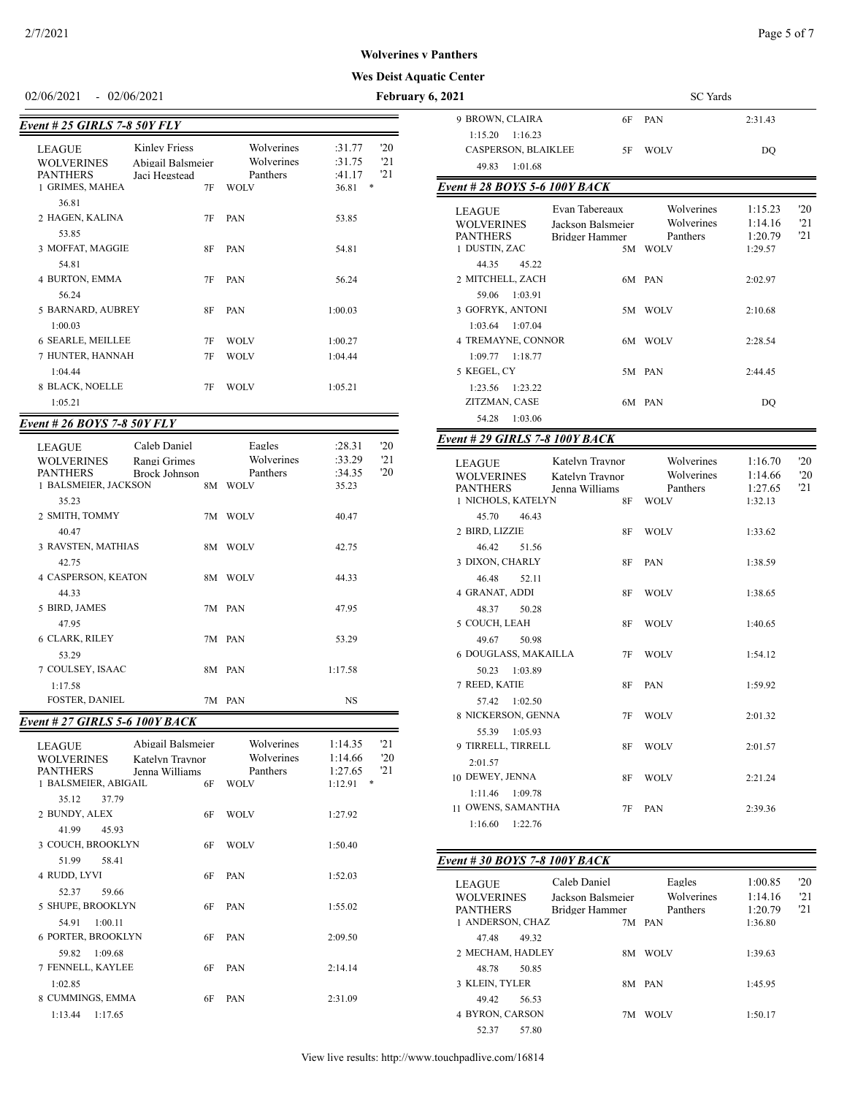#### 02/06/2021 - 02/06/2021 **February**

| Event # 25 GIRLS 7-8 50Y FLY                                             |                                                           |                                                     |                                                               |
|--------------------------------------------------------------------------|-----------------------------------------------------------|-----------------------------------------------------|---------------------------------------------------------------|
| <b>LEAGUE</b><br><b>WOLVERINES</b><br><b>PANTHERS</b><br>1 GRIMES, MAHEA | Kinley Friess<br>Abigail Balsmeier<br>Jaci Hegstead<br>7F | Wolverines<br>Wolverines<br>Panthers<br><b>WOLV</b> | '20<br>:31.77<br>121<br>:31.75<br>121<br>:41.17<br>36.81<br>* |
| 36.81<br>2 HAGEN, KALINA<br>53.85                                        | 7F                                                        | <b>PAN</b>                                          | 53.85                                                         |
| 3 MOFFAT, MAGGIE<br>54.81<br>4 BURTON, EMMA<br>56.24                     | 8F<br>7F                                                  | PAN<br>PAN                                          | 54.81<br>56.24                                                |
| 5 BARNARD, AUBREY<br>1:00.03                                             | 8F                                                        | PAN                                                 | 1:00.03                                                       |
| <b>6 SEARLE, MEILLEE</b><br>7 HUNTER, HANNAH<br>1:04.44                  | 7F<br>7F                                                  | <b>WOLV</b><br><b>WOLV</b>                          | 1:00.27<br>1:04.44                                            |
| 8 BLACK, NOELLE<br>1:05.21                                               | 7F                                                        | <b>WOLV</b>                                         | 1:05.21                                                       |

## *Event # 26 BOYS 7-8 50Y FLY*

| <b>LEAGUE</b><br><b>WOLVERINES</b><br><b>PANTHERS</b><br>1 BALSMEIER, JACKSON | Caleb Daniel<br>Rangi Grimes<br>Brock Johnson | 8M  | Eagles<br>Wolverines<br>Panthers<br><b>WOLV</b> | :28.31<br>:33.29<br>:34.35<br>35.23 | 20<br>'21<br>'20 |
|-------------------------------------------------------------------------------|-----------------------------------------------|-----|-------------------------------------------------|-------------------------------------|------------------|
| 35.23<br>2 SMITH, TOMMY                                                       |                                               | 7M  | <b>WOLV</b>                                     | 40.47                               |                  |
| 3 RAVSTEN, MATHIAS<br>42.75                                                   |                                               | 8M. | <b>WOLV</b>                                     | 42.75                               |                  |
| <b>4 CASPERSON, KEATON</b><br>44.33                                           |                                               | 8M  | <b>WOLV</b>                                     | 44.33                               |                  |
| 5 BIRD, JAMES<br>47.95                                                        |                                               |     | 7M PAN                                          | 47.95                               |                  |
| 6 CLARK, RILEY<br>53.29                                                       |                                               |     | 7M PAN                                          | 53.29                               |                  |
| 1:17.58                                                                       |                                               |     |                                                 |                                     |                  |
| 40.47<br>7 COULSEY, ISAAC<br><b>FOSTER, DANIEL</b>                            |                                               |     | 8M PAN<br>7M PAN                                | 1:17.58<br>NS                       |                  |

# *Event # 27 GIRLS 5-6 100Y BACK*

| <b>LEAGUE</b><br><b>WOLVERINES</b><br><b>PANTHERS</b> | Abigail Balsmeier<br>Katelyn Traynor<br>Jenna Williams | Wolverines<br>Wolverines<br>Panthers | 21<br>1:14.35<br>'20<br>1:14.66<br>121<br>1:27.65 |
|-------------------------------------------------------|--------------------------------------------------------|--------------------------------------|---------------------------------------------------|
| 1 BALSMEIER, ABIGAIL                                  | 6F                                                     | <b>WOLV</b>                          | $*$<br>1:12.91                                    |
| 35.12<br>37.79                                        |                                                        |                                      |                                                   |
| 2 BUNDY, ALEX                                         | 6F                                                     | <b>WOLV</b>                          | 1:27.92                                           |
| 41.99<br>45.93                                        |                                                        |                                      |                                                   |
| 3 COUCH, BROOKLYN                                     | 6F                                                     | <b>WOLV</b>                          | 1:50.40                                           |
| 51.99<br>58.41                                        |                                                        |                                      |                                                   |
| 4 RUDD, LYVI                                          | 6F                                                     | PAN                                  | 1:52.03                                           |
| 59.66<br>52.37                                        |                                                        |                                      |                                                   |
| 5 SHUPE, BROOKLYN                                     | 6F                                                     | <b>PAN</b>                           | 1:55.02                                           |
| 1:00.11<br>54.91                                      |                                                        |                                      |                                                   |
|                                                       |                                                        |                                      |                                                   |
| <b>6 PORTER, BROOKLYN</b>                             | 6F                                                     | PAN                                  | 2:09.50                                           |
| 1:09.68<br>59.82                                      |                                                        |                                      |                                                   |
| 7 FENNELL, KAYLEE                                     | 6F                                                     | PAN                                  | 2:14.14                                           |
| 1:02.85                                               |                                                        |                                      |                                                   |
| 8 CUMMINGS, EMMA                                      | 6F                                                     | PAN                                  | 2:31.09                                           |
| $1:13.44$ $1:17.65$                                   |                                                        |                                      |                                                   |

| <b>Wes Deist Aquatic Center</b>   |                                       |                                   |                         |                    |                     |
|-----------------------------------|---------------------------------------|-----------------------------------|-------------------------|--------------------|---------------------|
| February 6, 2021                  |                                       |                                   | SC Yards                |                    |                     |
|                                   | 9 BROWN, CLAIRA                       | 6F                                | PAN                     | 2:31.43            |                     |
|                                   | 1:15.20<br>1:16.23                    |                                   |                         |                    |                     |
| .77<br>'20                        | CASPERSON, BLAIKLEE                   | 5F                                | <b>WOLV</b>             | DQ                 |                     |
| .75<br>'21<br>'21<br>.17          | 49.83<br>1:01.68                      |                                   |                         |                    |                     |
| *<br>81                           | Event # 28 BOYS 5-6 100Y BACK         |                                   |                         |                    |                     |
|                                   | <b>LEAGUE</b>                         | Evan Tabereaux                    | Wolverines              | 1:15.23            | $20^{\circ}$        |
| 85                                | <b>WOLVERINES</b>                     | Jackson Balsmeier                 | Wolverines              | 1:14.16            | 21                  |
|                                   | <b>PANTHERS</b>                       | Bridger Hammer                    | Panthers                | 1:20.79            | 21                  |
| 81                                | 1 DUSTIN, ZAC                         |                                   | 5M WOLV                 | 1:29.57            |                     |
| 24                                | 44.35<br>45.22<br>2 MITCHELL, ZACH    |                                   | 6M PAN                  | 2:02.97            |                     |
|                                   | 59.06<br>1:03.91                      |                                   |                         |                    |                     |
| 03                                | 3 GOFRYK, ANTONI                      |                                   | 5M WOLV                 | 2:10.68            |                     |
|                                   | 1:03.64<br>1:07.04                    |                                   |                         |                    |                     |
| 27                                | 4 TREMAYNE, CONNOR                    |                                   | 6M WOLV                 | 2:28.54            |                     |
| 44                                | 1:09.77<br>1:18.77                    |                                   |                         |                    |                     |
|                                   | 5 KEGEL, CY                           |                                   | 5M PAN                  | 2:44.45            |                     |
| 21                                | 1:23.56<br>1:23.22                    |                                   |                         |                    |                     |
|                                   | ZITZMAN, CASE                         |                                   | 6M PAN                  | DO                 |                     |
|                                   | 54.28<br>1:03.06                      |                                   |                         |                    |                     |
| .31<br>'20                        | Event # 29 GIRLS 7-8 100Y BACK        |                                   |                         |                    |                     |
| .29<br>'21                        | <b>LEAGUE</b>                         | Katelyn Traynor                   | Wolverines              | 1:16.70            | $20^{\circ}$        |
| .35<br>20<br>23                   | <b>WOLVERINES</b>                     | Katelyn Traynor                   | Wolverines              | 1:14.66            | '20                 |
|                                   | <b>PANTHERS</b><br>1 NICHOLS, KATELYN | Jenna Williams<br>8F              | Panthers<br><b>WOLV</b> | 1:27.65<br>1:32.13 | 21                  |
| 47                                | 45.70<br>46.43                        |                                   |                         |                    |                     |
|                                   | 2 BIRD, LIZZIE                        | 8F                                | <b>WOLV</b>             | 1:33.62            |                     |
| 75                                | 46.42<br>51.56                        |                                   |                         |                    |                     |
|                                   | 3 DIXON, CHARLY                       | 8F                                | PAN                     | 1:38.59            |                     |
| 33                                | 46.48<br>52.11                        |                                   |                         |                    |                     |
|                                   | 4 GRANAT, ADDI                        | 8F                                | <b>WOLV</b>             | 1:38.65            |                     |
| 95                                | 48.37<br>50.28                        |                                   |                         |                    |                     |
| 29                                | 5 COUCH, LEAH<br>49.67<br>50.98       | 8F                                | <b>WOLV</b>             | 1:40.65            |                     |
|                                   | <b>6 DOUGLASS, MAKAILLA</b>           | 7F                                | <b>WOLV</b>             | 1:54.12            |                     |
| 58                                | 50.23<br>1:03.89                      |                                   |                         |                    |                     |
|                                   | 7 REED, KATIE                         | 8F                                | PAN                     | 1:59.92            |                     |
| ٧S                                | 57.42 1:02.50                         |                                   |                         |                    |                     |
|                                   | 8 NICKERSON, GENNA                    | 7F                                | <b>WOLV</b>             | 2:01.32            |                     |
|                                   | 55.39<br>1:05.93                      |                                   |                         |                    |                     |
| .35<br>'21<br>.66<br>$20^{\circ}$ | 9 TIRRELL, TIRRELL                    | 8F                                | <b>WOLV</b>             | 2:01.57            |                     |
| '21<br>.65                        | 2:01.57<br>10 DEWEY, JENNA            | 8F                                | <b>WOLV</b>             | 2:21.24            |                     |
| $\ast$<br>91                      | 1:11.46<br>1:09.78                    |                                   |                         |                    |                     |
|                                   | 11 OWENS, SAMANTHA                    | 7F                                | PAN                     | 2:39.36            |                     |
| 92                                | 1:22.76<br>1:16.60                    |                                   |                         |                    |                     |
| 40                                |                                       |                                   |                         |                    |                     |
|                                   | Event # 30 BOYS 7-8 100Y BACK         |                                   |                         |                    |                     |
| 03                                |                                       |                                   |                         |                    |                     |
|                                   | LEAGUE<br><b>WOLVERINES</b>           | Caleb Daniel<br>Jackson Balsmeier | Eagles<br>Wolverines    | 1:00.85<br>1:14.16 | $20^{\circ}$<br>'21 |
| 02                                | <b>PANTHERS</b>                       | Bridger Hammer                    | Panthers                | 1:20.79            | 21                  |
|                                   | 1 ANDERSON, CHAZ                      |                                   | 7M PAN                  | 1:36.80            |                     |
| 50                                | 47.48<br>49.32                        |                                   |                         |                    |                     |
|                                   | 2 MECHAM, HADLEY                      |                                   | 8M WOLV                 | 1:39.63            |                     |
| 14                                | 48.78<br>50.85                        |                                   |                         |                    |                     |
| 09                                | 3 KLEIN, TYLER<br>49.42<br>56.53      |                                   | 8M PAN                  | 1:45.95            |                     |
|                                   | 4 BYRON, CARSON                       |                                   | 7M WOLV                 | 1:50.17            |                     |

52.37 57.80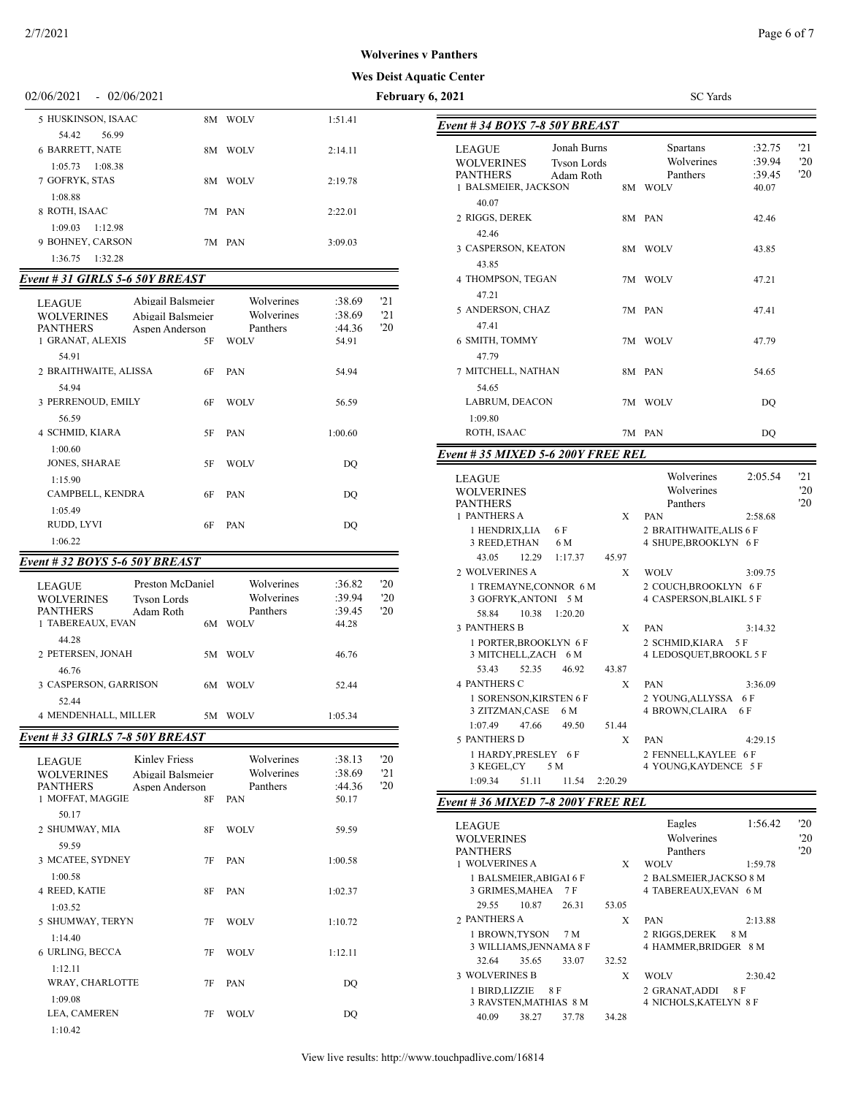# **Wes Deist Aquatic Cent**

| 02/06/2021<br>$-02/06/2021$                                                                  |                        |                  | February 6, 2021 |                                                                         |            | <b>SC</b> Yards                      |
|----------------------------------------------------------------------------------------------|------------------------|------------------|------------------|-------------------------------------------------------------------------|------------|--------------------------------------|
| 5 HUSKINSON, ISAAC                                                                           | 8M WOLV                | 1:51.41          |                  | Event #34 BOYS 7-8 50Y BREAST                                           |            |                                      |
| 56.99<br>54.42<br>6 BARRETT, NATE                                                            | 8M WOLV                | 2:14.11          |                  | Jonah Burns<br><b>LEAGUE</b><br><b>WOLVERINES</b><br><b>Tyson Lords</b> |            | Spartans<br>Wolverines               |
| $1:05.73$ $1:08.38$<br>7 GOFRYK, STAS<br>1:08.88                                             | 8M WOLV                | 2:19.78          |                  | <b>PANTHERS</b><br>Adam Roth<br>1 BALSMEIER, JACKSON                    |            | Panthers<br>8M WOLV                  |
| 8 ROTH, ISAAC<br>$1:09.03$ $1:12.98$                                                         | 7M PAN                 | 2:22.01          |                  | 40.07<br>2 RIGGS, DEREK                                                 |            | 8M PAN                               |
| 9 BOHNEY, CARSON<br>1:36.75<br>1:32.28                                                       | 7M PAN                 | 3:09.03          |                  | 42.46<br>3 CASPERSON, KEATON                                            |            | 8M WOLV                              |
| Event # 31 GIRLS 5-6 50Y BREAST                                                              |                        |                  |                  | 43.85<br>4 THOMPSON, TEGAN                                              |            | 7M WOLV                              |
| Abigail Balsmeier                                                                            | Wolverines             | :38.69           | '21              | 47.21                                                                   |            |                                      |
| <b>LEAGUE</b><br><b>WOLVERINES</b><br>Abigail Balsmeier<br><b>PANTHERS</b><br>Aspen Anderson | Wolverines<br>Panthers | :38.69<br>:44.36 | '21<br>20        | 5 ANDERSON, CHAZ<br>47.41                                               |            | 7M PAN                               |
| 1 GRANAT, ALEXIS<br>5F<br>54.91                                                              | <b>WOLV</b>            | 54.91            |                  | 6 SMITH, TOMMY<br>47.79                                                 |            | 7M WOLV                              |
| 2 BRAITHWAITE, ALISSA<br>6F<br>54.94                                                         | PAN                    | 54.94            |                  | 7 MITCHELL, NATHAN<br>54.65                                             |            | 8M PAN                               |
| 3 PERRENOUD, EMILY<br>6F<br>56.59                                                            | <b>WOLV</b>            | 56.59            |                  | LABRUM, DEACON<br>1:09.80                                               |            | 7M WOLV                              |
| 4 SCHMID, KIARA<br>5F                                                                        | PAN                    | 1:00.60          |                  | ROTH, ISAAC                                                             |            | 7M PAN                               |
| 1:00.60                                                                                      |                        |                  |                  | Event #35 MIXED 5-6 200Y FREE REL                                       |            |                                      |
| <b>JONES, SHARAE</b><br>5F<br>1:15.90                                                        | <b>WOLV</b>            | DO               |                  | <b>LEAGUE</b>                                                           |            | Wolverines                           |
| CAMPBELL, KENDRA<br>6F<br>1:05.49                                                            | PAN                    | DQ               |                  | <b>WOLVERINES</b><br><b>PANTHERS</b>                                    |            | Wolverines<br>Panthers               |
| RUDD, LYVI<br>6F                                                                             | PAN                    | DQ               |                  | 1 PANTHERS A<br>1 HENDRIX, LIA<br>6 F                                   | X          | PAN<br>2 BRAITHWAITE, AI             |
| 1:06.22                                                                                      |                        |                  |                  | 3 REED, ETHAN<br>6 M                                                    |            | <b>4 SHUPE, BROOKLY</b>              |
| Event # 32 BOYS 5-6 50Y BREAST                                                               |                        |                  |                  | 43.05<br>12.29<br>1:17.37                                               | 45.97      |                                      |
| Preston McDaniel<br><b>LEAGUE</b>                                                            | Wolverines             | :36.82           | 20               | 2 WOLVERINES A<br>1 TREMAYNE, CONNOR 6 M                                | X          | <b>WOLV</b><br>2 COUCH, BROOKLY      |
| <b>WOLVERINES</b><br><b>Tyson Lords</b>                                                      | Wolverines             | :39.94           | '20              | 3 GOFRYK, ANTONI 5 M                                                    |            | 4 CASPERSON, BLA                     |
| <b>PANTHERS</b><br>Adam Roth<br>1 TABEREAUX, EVAN                                            | Panthers<br>6M WOLV    | :39.45<br>44.28  | 20               | 58.84<br>10.38 1:20.20                                                  |            |                                      |
| 44.28                                                                                        |                        |                  |                  | <b>3 PANTHERS B</b><br>1 PORTER, BROOKLYN 6 F                           | X          | PAN<br>2 SCHMID, KIARA               |
| 2 PETERSEN, JONAH                                                                            | 5M WOLV                | 46.76            |                  | 3 MITCHELL, ZACH 6 M                                                    |            | 4 LEDOSQUET, BRC                     |
| 46.76<br>3 CASPERSON, GARRISON                                                               | 6M WOLV                | 52.44            |                  | 53.43<br>52.35<br>46.92<br><b>4 PANTHERS C</b>                          | 43.87<br>X | PAN                                  |
| 52.44                                                                                        |                        |                  |                  | 1 SORENSON, KIRSTEN 6 F<br>3 ZITZMAN, CASE 6 M                          |            | 2 YOUNG, ALLYSSA<br>4 BROWN, CLAIRA  |
| 4 MENDENHALL, MILLER                                                                         | 5M WOLV                | 1:05.34          |                  | 1:07.49<br>47.66<br>49.50                                               | 51.44      |                                      |
| Event # 33 GIRLS 7-8 50Y BREAST                                                              |                        |                  |                  | 5 PANTHERS D                                                            | X          | PAN                                  |
| <b>Kinley Friess</b><br><b>LEAGUE</b>                                                        | Wolverines             | :38.13           | '20              | 1 HARDY, PRESLEY 6 F<br>5 M<br>3 KEGEL,CY                               |            | 2 FENNELL, KAYLE<br>4 YOUNG, KAYDEN  |
| <b>WOLVERINES</b><br>Abigail Balsmeier<br><b>PANTHERS</b><br>Aspen Anderson                  | Wolverines<br>Panthers | :38.69<br>:44.36 | '21<br>20        | 1:09.34<br>51.11<br>11.54                                               | 2:20.29    |                                      |
| 1 MOFFAT, MAGGIE<br>8F                                                                       | PAN                    | 50.17            |                  | Event #36 MIXED 7-8 200Y FREE REL                                       |            |                                      |
| 50.17                                                                                        |                        |                  |                  | <b>LEAGUE</b>                                                           |            | Eagles                               |
| 2 SHUMWAY, MIA<br>8F<br>59.59                                                                | <b>WOLV</b>            | 59.59            |                  | <b>WOLVERINES</b>                                                       |            | Wolverines                           |
| 3 MCATEE, SYDNEY<br>7F                                                                       | PAN                    | 1:00.58          |                  | <b>PANTHERS</b><br>1 WOLVERINES A                                       | X          | Panthers<br><b>WOLV</b>              |
| 1:00.58<br>4 REED, KATIE<br><b>8F</b>                                                        | PAN                    | 1:02.37          |                  | 1 BALSMEIER, ABIGAI 6 F<br>3 GRIMES, MAHEA 7 F                          |            | 2 BALSMEIER, JACK<br>4 TABEREAUX,EVA |
| 1:03.52<br>5 SHUMWAY, TERYN<br>7F                                                            | <b>WOLV</b>            | 1:10.72          |                  | 10.87<br>29.55<br>26.31<br>2 PANTHERS A                                 | 53.05<br>X | PAN                                  |
| 1:14.40                                                                                      |                        |                  |                  | 1 BROWN, TYSON<br>7 M                                                   |            | 2 RIGGS, DEREK                       |
| 6 URLING, BECCA<br>7F<br>1:12.11                                                             | <b>WOLV</b>            | 1:12.11          |                  | 3 WILLIAMS, JENNAMA 8 F<br>32.64<br>35.65<br>33.07                      | 32.52      | 4 HAMMER, BRIDGI                     |
| WRAY, CHARLOTTE<br>7F                                                                        | PAN                    | DQ               |                  | 3 WOLVERINES B<br>1 BIRD, LIZZIE 8 F                                    | X          | <b>WOLV</b><br>2 GRANAT, ADDI        |
| 1:09.08                                                                                      |                        |                  |                  | 3 RAVSTEN, MATHIAS 8 M                                                  |            | 4 NICHOLS, KATELY                    |
| LEA, CAMEREN<br>7F<br>1:10.42                                                                | <b>WOLV</b>            | DQ               |                  | 40.09<br>38.27<br>37.78                                                 | 34.28      |                                      |

| ıc Center                                                                                               |                                                                                                |
|---------------------------------------------------------------------------------------------------------|------------------------------------------------------------------------------------------------|
| 2021                                                                                                    | <b>SC</b> Yards                                                                                |
| Event # 34 BOYS 7-8 50Y BREAST                                                                          |                                                                                                |
| Jonah Burns<br><b>LEAGUE</b><br><b>WOLVERINES</b><br><b>Tyson Lords</b><br><b>PANTHERS</b><br>Adam Roth | '21<br>:32.75<br>Spartans<br>'20<br>Wolverines<br>:39.94<br>$20^{\circ}$<br>Panthers<br>:39.45 |
| 1 BALSMEIER, JACKSON                                                                                    | 8M WOLV<br>40.07                                                                               |
| 40.07<br>2 RIGGS, DEREK<br>42.46                                                                        | 8M PAN<br>42.46                                                                                |
| 3 CASPERSON, KEATON<br>43.85                                                                            | 8M WOLV<br>43.85                                                                               |
| 4 THOMPSON, TEGAN<br>7M<br>47.21                                                                        | WOLV<br>47.21                                                                                  |
| 5 ANDERSON, CHAZ<br>7M<br>47.41                                                                         | PAN<br>47.41                                                                                   |
| 6 SMITH, TOMMY<br>7M<br>47.79                                                                           | WOLV<br>47.79                                                                                  |
| 7 MITCHELL, NATHAN<br>54.65                                                                             | 8M PAN<br>54.65                                                                                |
| LABRUM, DEACON<br>7M                                                                                    | WOLV<br>DQ                                                                                     |
| 1:09.80<br>ROTH, ISAAC                                                                                  | 7M PAN<br>DQ                                                                                   |
| Event # 35 MIXED 5-6 200Y FREE REL                                                                      |                                                                                                |
| LEAGUE<br><b>WOLVERINES</b>                                                                             | Wolverines<br>21<br>2:05.54<br>Wolverines<br>$20^{\circ}$                                      |
| <b>PANTHERS</b><br>1 PANTHERS A<br>Χ                                                                    | '20<br>Panthers<br>PAN<br>2:58.68                                                              |
| 1 HENDRIX,LIA<br>6 F<br>3 REED,ETHAN<br>6 M                                                             | 2 BRAITHWAITE, ALIS 6 F<br>4 SHUPE, BROOKLYN 6 F                                               |
| 43.05<br>12.29<br>1:17.37<br>45.97                                                                      |                                                                                                |
| 2 WOLVERINES A<br>X                                                                                     | <b>WOLV</b><br>3:09.75                                                                         |
| 1 TREMAYNE, CONNOR 6 M<br>3 GOFRYK, ANTONI 5 M<br>58.84<br>10.38<br>1:20.20                             | 2 COUCH, BROOKLYN 6 F<br><b>4 CASPERSON, BLAIKL 5 F</b>                                        |
| <b>3 PANTHERS B</b><br>Χ                                                                                | PAN<br>3:14.32                                                                                 |
| 1 PORTER, BROOKLYN 6 F<br>3 MITCHELL,ZACH 6 M                                                           | 2 SCHMID,KIARA<br>5 F<br>4 LEDOSQUET,BROOKL 5 F                                                |
| 46.92<br>53.43<br>52.35<br>43.87                                                                        |                                                                                                |
| <b>4 PANTHERS C</b><br>Χ                                                                                | PAN<br>3:36.09                                                                                 |
| 1 SORENSON, KIRSTEN 6 F                                                                                 | 2 YOUNG, ALLYSSA 6 F                                                                           |
| 3 ZITZMAN,CASE<br>6 M<br>1:07.49<br>47.66<br>49.50<br>51.44                                             | 4 BROWN, CLAIRA 6 F                                                                            |
| 5 PANTHERS D<br>Χ                                                                                       | PAN<br>4:29.15                                                                                 |
| 1 HARDY, PRESLEY 6 F                                                                                    | 2 FENNELL, KAYLEE 6 F                                                                          |
| 3 KEGEL,CY<br>5 M                                                                                       | 4 YOUNG, KAYDENCE 5 F                                                                          |
| 1:09.34<br>51.11<br>11.54<br>2:20.29                                                                    |                                                                                                |
| Event # 36 MIXED 7-8 200Y FREE REL                                                                      |                                                                                                |
| <b>LEAGUE</b>                                                                                           | Eagles<br>1:56.42<br>$20^{\circ}$                                                              |
| <b>WOLVERINES</b>                                                                                       | Wolverines<br>$20^{\circ}$                                                                     |
| <b>PANTHERS</b><br>1 WOLVERINES A                                                                       | '20<br>Panthers                                                                                |
| X                                                                                                       | <b>WOLV</b><br>1:59.78                                                                         |
| 1 BALSMEIER,ABIGAI 6 F<br>3 GRIMES, MAHEA<br>7 F<br>29.55<br>10.87<br>26.31<br>53.05                    | 2 BALSMEIER, JACKSO 8 M<br>4 TABEREAUX, EVAN 6 M                                               |
| 2 PANTHERS A<br>Χ                                                                                       | PAN<br>2:13.88                                                                                 |
| 1 BROWN,TYSON<br>7 M<br>3 WILLIAMS, JENNAMA 8 F                                                         | 2 RIGGS, DEREK<br>8 M<br>4 HAMMER, BRIDGER 8 M                                                 |
| 32.64<br>35.65<br>33.07<br>32.52<br>3 WOLVERINES B                                                      |                                                                                                |
| X                                                                                                       | <b>WOLV</b><br>2:30.42                                                                         |

1 BIRD,LIZZIE 8 F 2 GRANAT,ADDI 8 F  $3$  RAVSTEN,<br>MATHIAS  $\,$  8 M  $\,$   $\,$  4 NICHOLS,<br>KATELYN  $\,$  8 F  $\,$